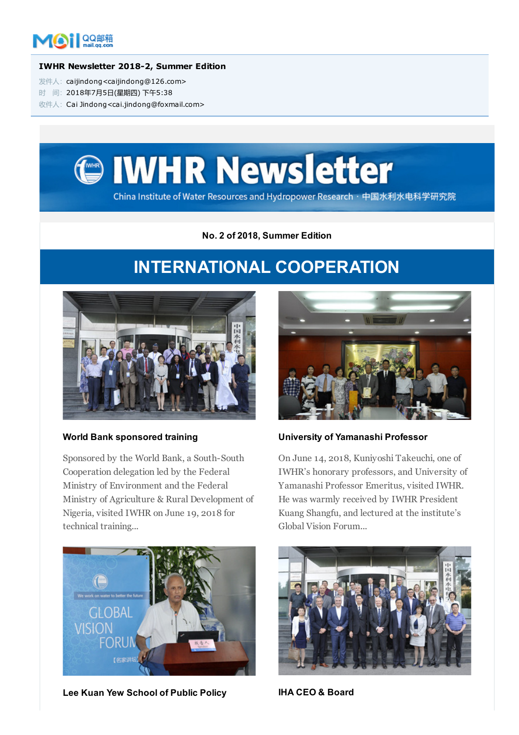

#### IWHR Newsletter 2018-2, Summer Edition

发件人: caijindong<caijindong@126.com>

时 间:2018年7月5日(星期四) 下午5:38

收件人:Cai Jindong<cai.jindong@foxmail.com>



No. 2 of 2018, Summer Edition

## INTERNATIONAL COOPERATION



#### World Bank sponsored training

Sponsored by the World Bank, a South-South Cooperation delegation led by the Federal Ministry of Environment and the Federal Ministry of Agriculture & Rural Development of Nigeria, visited IWHR on June 19, 2018 for technical training...



Lee Kuan Yew School of Public Policy **IHA CEO & Board** 



#### University of Yamanashi Professor

On June 14, 2018, Kuniyoshi Takeuchi, one of IWHR's honorary professors, and University of Yamanashi Professor Emeritus, visited IWHR. He was warmly received by IWHR President Kuang Shangfu, and lectured at the institute's Global Vision Forum...

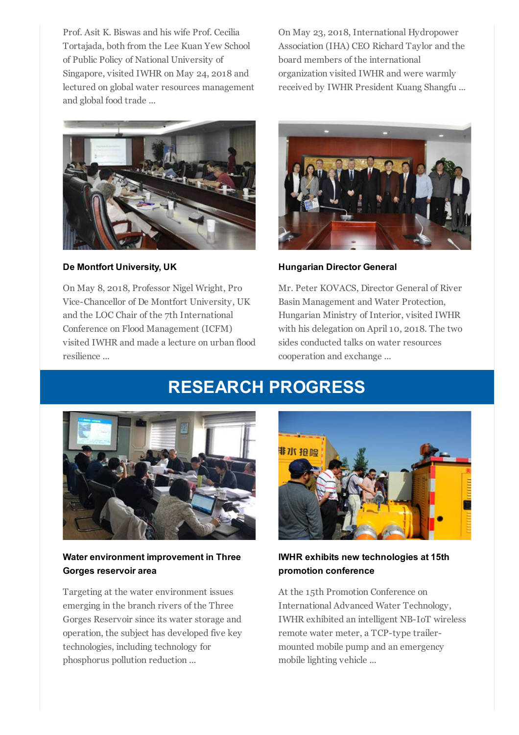Prof. Asit K. Biswas and his wife Prof. Cecilia Tortajada, both from the Lee Kuan Yew School of Public Policy of National University of Singapore, visited IWHR on May 24, 2018 and lectured on global water resources management and global food trade ...

On May 23, 2018, International Hydropower Association (IHA) CEO Richard Taylor and the board members of the international organization visited IWHR and were warmly received by IWHR President Kuang Shangfu ...



De Montfort University, UK

On May 8, 2018, Professor Nigel Wright, Pro Vice-Chancellor of De Montfort University, UK and the LOC Chair of the 7th International Conference on Flood Management (ICFM) visited IWHR and made a lecture on urban flood resilience ...



Hungarian Director General

Mr. Peter KOVACS, Director General of River Basin Management and Water Protection, Hungarian Ministry of Interior, visited IWHR with his delegation on April 10, 2018. The two sides conducted talks on water resources cooperation and exchange ...

# RESEARCH PROGRESS



### Water environment improvement in Three Gorges reservoir area

Targeting at the water environment issues emerging in the branch rivers of the Three Gorges Reservoir since its water storage and operation, the subject has developed five key technologies, including technology for phosphorus pollution reduction ...



### IWHR exhibits new technologies at 15th promotion conference

At the 15th Promotion Conference on International Advanced Water Technology, IWHR exhibited an intelligent NB-IoT wireless remote water meter, a TCP-type trailermounted mobile pump and an emergency mobile lighting vehicle ...